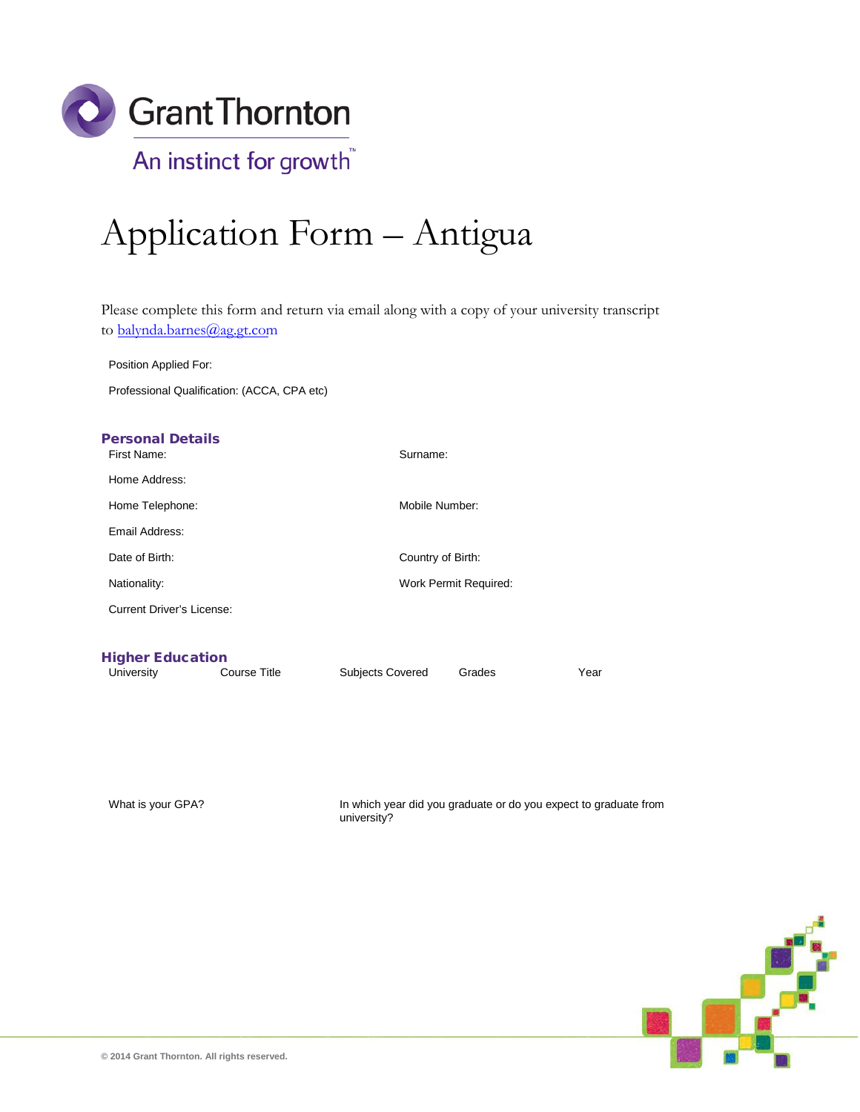

# Application Form – Antigua

Please complete this form and return via email along with a copy of your university transcript to [balynda.barnes](mailto:caroline.williams@ag.gt.com)@ag.gt.com

Position Applied For:

Professional Qualification: (ACCA, CPA etc)

| <b>Personal Details</b><br>First Name: |                     | Surname:                |        |      |
|----------------------------------------|---------------------|-------------------------|--------|------|
| Home Address:                          |                     |                         |        |      |
| Home Telephone:                        |                     | Mobile Number:          |        |      |
| Email Address:                         |                     |                         |        |      |
| Date of Birth:                         |                     | Country of Birth:       |        |      |
| Nationality:                           |                     | Work Permit Required:   |        |      |
| <b>Current Driver's License:</b>       |                     |                         |        |      |
|                                        |                     |                         |        |      |
| <b>Higher Education</b>                |                     |                         |        |      |
| University                             | <b>Course Title</b> | <b>Subjects Covered</b> | Grades | Year |

What is your GPA? In which year did you graduate or do you expect to graduate from university?

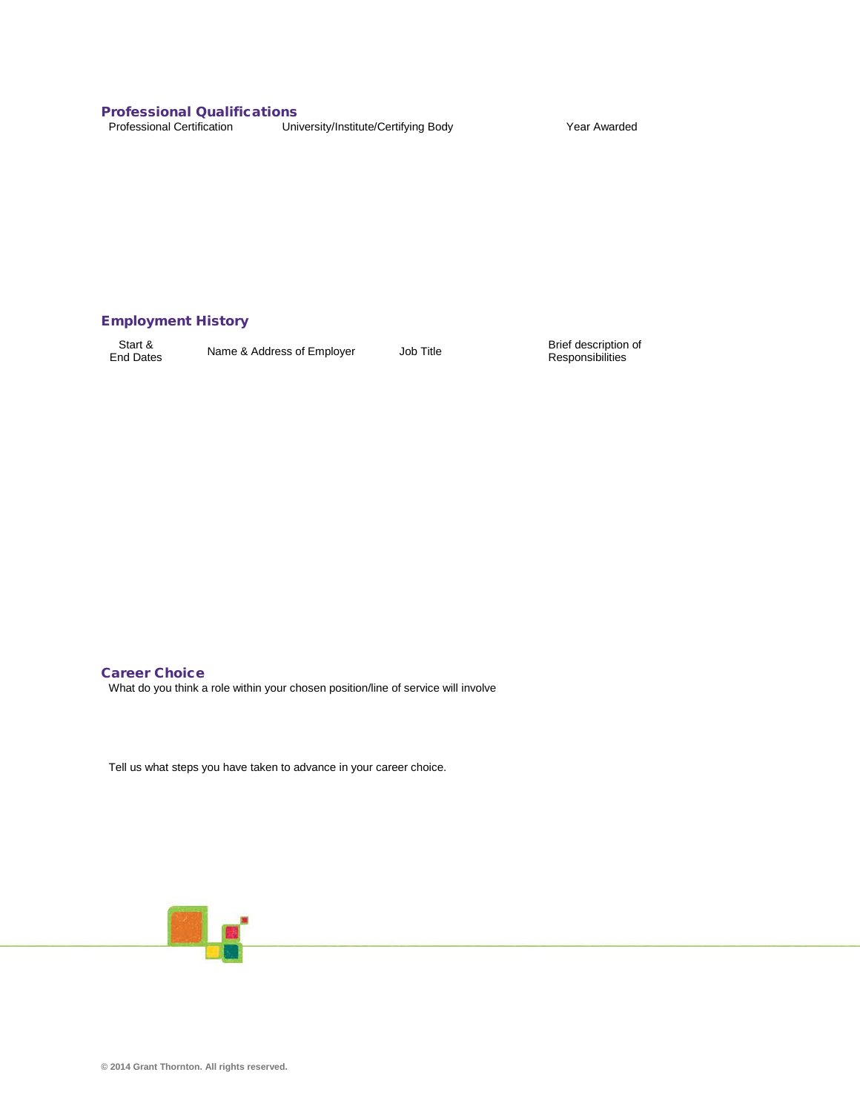# **Professional Qualifications**<br>Professional Certification Uni

University/Institute/Certifying Body Year Awarded

## Employment History

Start &<br>End Dates

**End Dates Name & Address of Employer** Job Title Brief description of Responsibilities

#### Career Choice What do you think a role within your chosen position/line of service will involve

Tell us what steps you have taken to advance in your career choice.

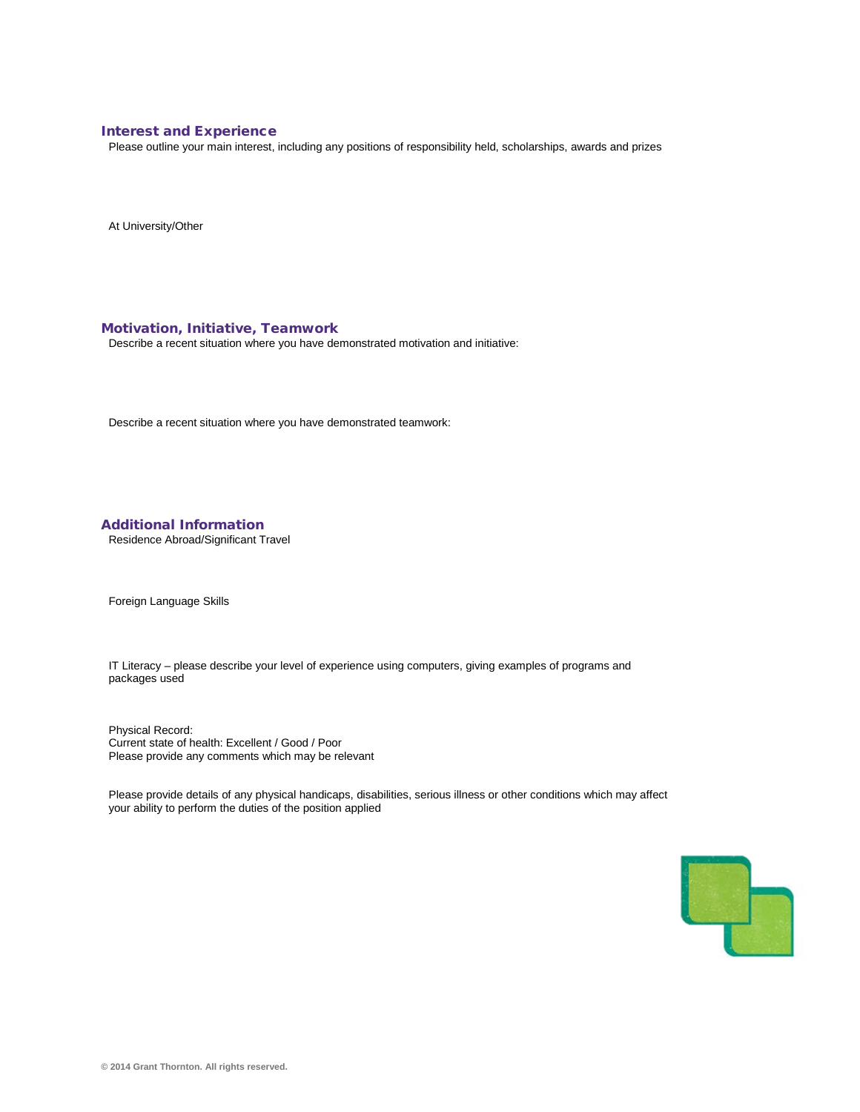#### Interest and Experience

Please outline your main interest, including any positions of responsibility held, scholarships, awards and prizes

At University/Other

#### Motivation, Initiative, Teamwork

Describe a recent situation where you have demonstrated motivation and initiative:

Describe a recent situation where you have demonstrated teamwork:

Additional Information

Residence Abroad/Significant Travel

Foreign Language Skills

IT Literacy – please describe your level of experience using computers, giving examples of programs and packages used

Physical Record: Current state of health: Excellent / Good / Poor Please provide any comments which may be relevant

Please provide details of any physical handicaps, disabilities, serious illness or other conditions which may affect your ability to perform the duties of the position applied